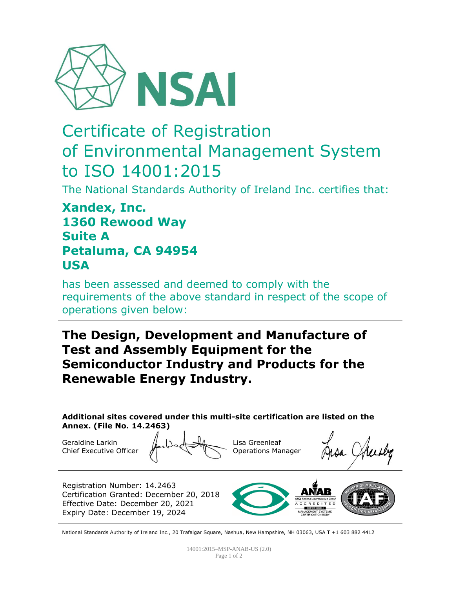

# Certificate of Registration of Environmental Management System to ISO 14001:2015

The National Standards Authority of Ireland Inc. certifies that:

### **Xandex, Inc. 1360 Rewood Way Suite A Petaluma, CA 94954 USA**

has been assessed and deemed to comply with the requirements of the above standard in respect of the scope of operations given below:

## **The Design, Development and Manufacture of Test and Assembly Equipment for the Semiconductor Industry and Products for the Renewable Energy Industry.**

**Additional sites covered under this multi-site certification are listed on the Annex. (File No. 14.2463)**

Geraldine Larkin Chief Executive Officer

Lisa Greenleaf Operations Manager

Registration Number: 14.2463 Certification Granted: December 20, 2018 Effective Date: December 20, 2021 Expiry Date: December 19, 2024



National Standards Authority of Ireland Inc., 20 Trafalgar Square, Nashua, New Hampshire, NH 03063, USA T +1 603 882 4412